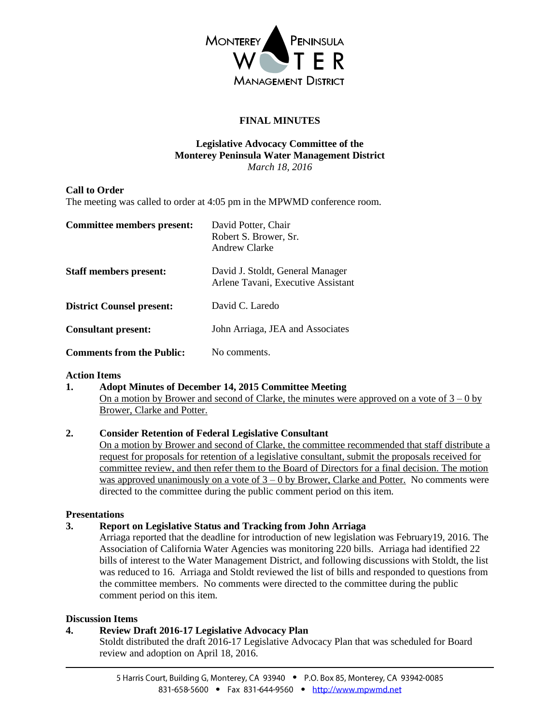

# **FINAL MINUTES**

#### **Legislative Advocacy Committee of the Monterey Peninsula Water Management District** *March 18, 2016*

## **Call to Order**

The meeting was called to order at 4:05 pm in the MPWMD conference room.

| Committee members present:       | David Potter, Chair<br>Robert S. Brower, Sr.<br>Andrew Clarke          |
|----------------------------------|------------------------------------------------------------------------|
| <b>Staff members present:</b>    | David J. Stoldt, General Manager<br>Arlene Tavani, Executive Assistant |
| <b>District Counsel present:</b> | David C. Laredo                                                        |
| <b>Consultant present:</b>       | John Arriaga, JEA and Associates                                       |
| <b>Comments from the Public:</b> | No comments.                                                           |

#### **Action Items**

**1. Adopt Minutes of December 14, 2015 Committee Meeting** On a motion by Brower and second of Clarke, the minutes were approved on a vote of  $3 - 0$  by Brower, Clarke and Potter.

#### **2. Consider Retention of Federal Legislative Consultant**

On a motion by Brower and second of Clarke, the committee recommended that staff distribute a request for proposals for retention of a legislative consultant, submit the proposals received for committee review, and then refer them to the Board of Directors for a final decision. The motion was approved unanimously on a vote of  $3 - 0$  by Brower, Clarke and Potter. No comments were directed to the committee during the public comment period on this item.

#### **Presentations**

#### **3. Report on Legislative Status and Tracking from John Arriaga**

Arriaga reported that the deadline for introduction of new legislation was February19, 2016. The Association of California Water Agencies was monitoring 220 bills. Arriaga had identified 22 bills of interest to the Water Management District, and following discussions with Stoldt, the list was reduced to 16. Arriaga and Stoldt reviewed the list of bills and responded to questions from the committee members. No comments were directed to the committee during the public comment period on this item.

#### **Discussion Items**

#### **4. Review Draft 2016-17 Legislative Advocacy Plan**

Stoldt distributed the draft 2016-17 Legislative Advocacy Plan that was scheduled for Board review and adoption on April 18, 2016.